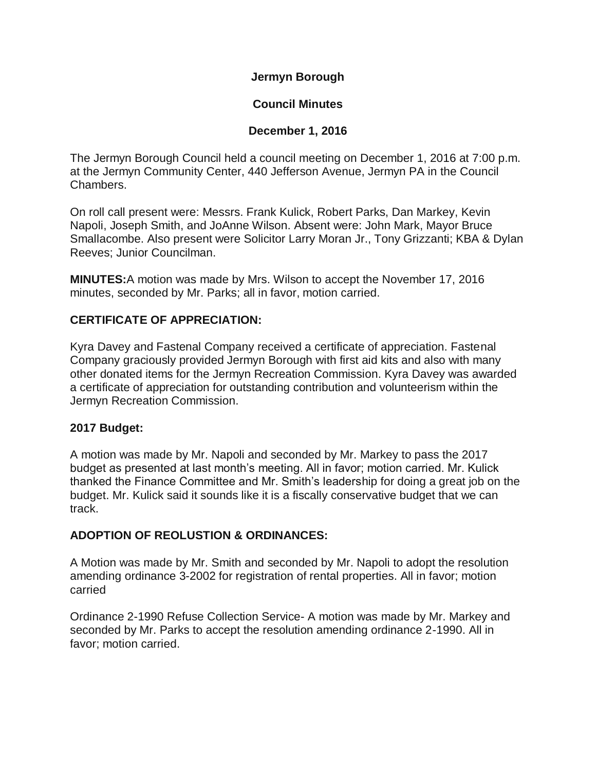**Jermyn Borough**

# **Council Minutes**

# **December 1, 2016**

The Jermyn Borough Council held a council meeting on December 1, 2016 at 7:00 p.m. at the Jermyn Community Center, 440 Jefferson Avenue, Jermyn PA in the Council Chambers.

On roll call present were: Messrs. Frank Kulick, Robert Parks, Dan Markey, Kevin Napoli, Joseph Smith, and JoAnne Wilson. Absent were: John Mark, Mayor Bruce Smallacombe. Also present were Solicitor Larry Moran Jr., Tony Grizzanti; KBA & Dylan Reeves; Junior Councilman.

**MINUTES:**A motion was made by Mrs. Wilson to accept the November 17, 2016 minutes, seconded by Mr. Parks; all in favor, motion carried.

# **CERTIFICATE OF APPRECIATION:**

Kyra Davey and Fastenal Company received a certificate of appreciation. Fastenal Company graciously provided Jermyn Borough with first aid kits and also with many other donated items for the Jermyn Recreation Commission. Kyra Davey was awarded a certificate of appreciation for outstanding contribution and volunteerism within the Jermyn Recreation Commission.

# **2017 Budget:**

A motion was made by Mr. Napoli and seconded by Mr. Markey to pass the 2017 budget as presented at last month's meeting. All in favor; motion carried. Mr. Kulick thanked the Finance Committee and Mr. Smith's leadership for doing a great job on the budget. Mr. Kulick said it sounds like it is a fiscally conservative budget that we can track.

# **ADOPTION OF REOLUSTION & ORDINANCES:**

A Motion was made by Mr. Smith and seconded by Mr. Napoli to adopt the resolution amending ordinance 3-2002 for registration of rental properties. All in favor; motion carried

Ordinance 2-1990 Refuse Collection Service- A motion was made by Mr. Markey and seconded by Mr. Parks to accept the resolution amending ordinance 2-1990. All in favor; motion carried.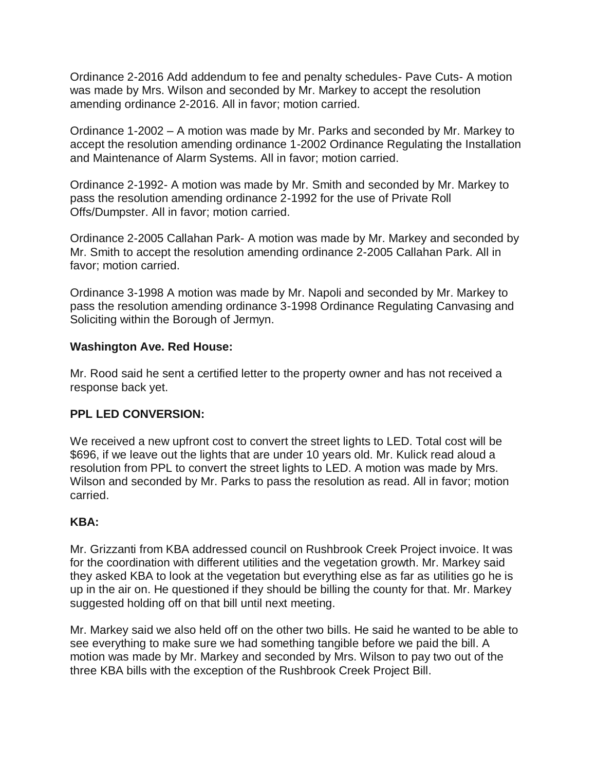Ordinance 2-2016 Add addendum to fee and penalty schedules- Pave Cuts- A motion was made by Mrs. Wilson and seconded by Mr. Markey to accept the resolution amending ordinance 2-2016. All in favor; motion carried.

Ordinance 1-2002 – A motion was made by Mr. Parks and seconded by Mr. Markey to accept the resolution amending ordinance 1-2002 Ordinance Regulating the Installation and Maintenance of Alarm Systems. All in favor; motion carried.

Ordinance 2-1992- A motion was made by Mr. Smith and seconded by Mr. Markey to pass the resolution amending ordinance 2-1992 for the use of Private Roll Offs/Dumpster. All in favor; motion carried.

Ordinance 2-2005 Callahan Park- A motion was made by Mr. Markey and seconded by Mr. Smith to accept the resolution amending ordinance 2-2005 Callahan Park. All in favor; motion carried.

Ordinance 3-1998 A motion was made by Mr. Napoli and seconded by Mr. Markey to pass the resolution amending ordinance 3-1998 Ordinance Regulating Canvasing and Soliciting within the Borough of Jermyn.

## **Washington Ave. Red House:**

Mr. Rood said he sent a certified letter to the property owner and has not received a response back yet.

# **PPL LED CONVERSION:**

We received a new upfront cost to convert the street lights to LED. Total cost will be \$696, if we leave out the lights that are under 10 years old. Mr. Kulick read aloud a resolution from PPL to convert the street lights to LED. A motion was made by Mrs. Wilson and seconded by Mr. Parks to pass the resolution as read. All in favor; motion carried.

#### **KBA:**

Mr. Grizzanti from KBA addressed council on Rushbrook Creek Project invoice. It was for the coordination with different utilities and the vegetation growth. Mr. Markey said they asked KBA to look at the vegetation but everything else as far as utilities go he is up in the air on. He questioned if they should be billing the county for that. Mr. Markey suggested holding off on that bill until next meeting.

Mr. Markey said we also held off on the other two bills. He said he wanted to be able to see everything to make sure we had something tangible before we paid the bill. A motion was made by Mr. Markey and seconded by Mrs. Wilson to pay two out of the three KBA bills with the exception of the Rushbrook Creek Project Bill.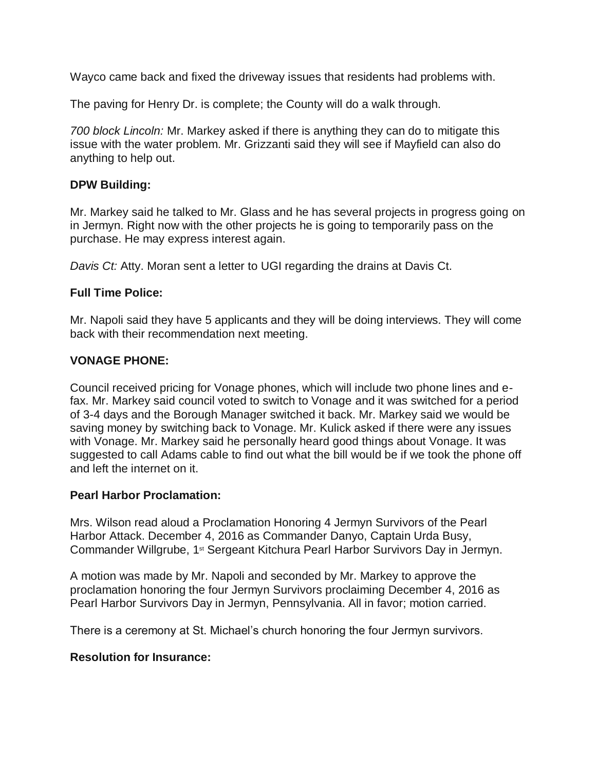Wayco came back and fixed the driveway issues that residents had problems with.

The paving for Henry Dr. is complete; the County will do a walk through.

*700 block Lincoln:* Mr. Markey asked if there is anything they can do to mitigate this issue with the water problem. Mr. Grizzanti said they will see if Mayfield can also do anything to help out.

## **DPW Building:**

Mr. Markey said he talked to Mr. Glass and he has several projects in progress going on in Jermyn. Right now with the other projects he is going to temporarily pass on the purchase. He may express interest again.

*Davis Ct:* Atty. Moran sent a letter to UGI regarding the drains at Davis Ct.

## **Full Time Police:**

Mr. Napoli said they have 5 applicants and they will be doing interviews. They will come back with their recommendation next meeting.

# **VONAGE PHONE:**

Council received pricing for Vonage phones, which will include two phone lines and efax. Mr. Markey said council voted to switch to Vonage and it was switched for a period of 3-4 days and the Borough Manager switched it back. Mr. Markey said we would be saving money by switching back to Vonage. Mr. Kulick asked if there were any issues with Vonage. Mr. Markey said he personally heard good things about Vonage. It was suggested to call Adams cable to find out what the bill would be if we took the phone off and left the internet on it.

#### **Pearl Harbor Proclamation:**

Mrs. Wilson read aloud a Proclamation Honoring 4 Jermyn Survivors of the Pearl Harbor Attack. December 4, 2016 as Commander Danyo, Captain Urda Busy, Commander Willgrube, 1st Sergeant Kitchura Pearl Harbor Survivors Day in Jermyn.

A motion was made by Mr. Napoli and seconded by Mr. Markey to approve the proclamation honoring the four Jermyn Survivors proclaiming December 4, 2016 as Pearl Harbor Survivors Day in Jermyn, Pennsylvania. All in favor; motion carried.

There is a ceremony at St. Michael's church honoring the four Jermyn survivors.

#### **Resolution for Insurance:**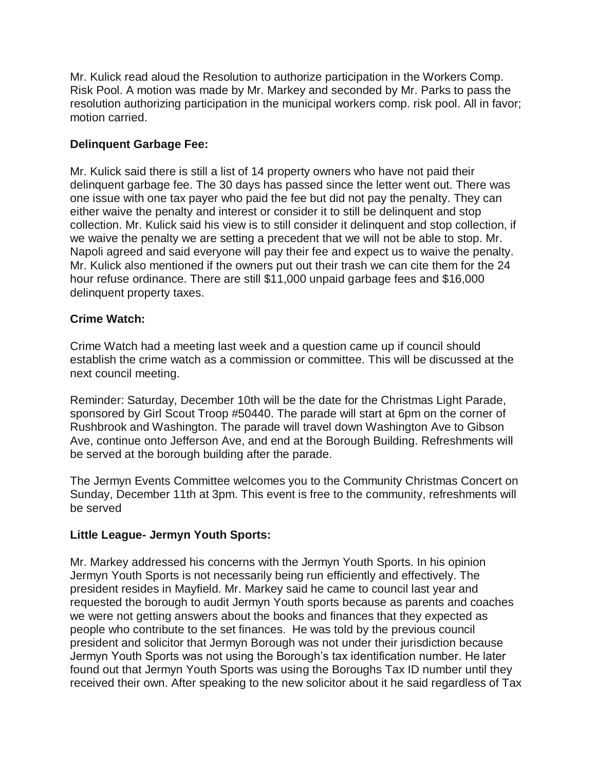Mr. Kulick read aloud the Resolution to authorize participation in the Workers Comp. Risk Pool. A motion was made by Mr. Markey and seconded by Mr. Parks to pass the resolution authorizing participation in the municipal workers comp. risk pool. All in favor; motion carried.

## **Delinquent Garbage Fee:**

Mr. Kulick said there is still a list of 14 property owners who have not paid their delinquent garbage fee. The 30 days has passed since the letter went out. There was one issue with one tax payer who paid the fee but did not pay the penalty. They can either waive the penalty and interest or consider it to still be delinquent and stop collection. Mr. Kulick said his view is to still consider it delinquent and stop collection, if we waive the penalty we are setting a precedent that we will not be able to stop. Mr. Napoli agreed and said everyone will pay their fee and expect us to waive the penalty. Mr. Kulick also mentioned if the owners put out their trash we can cite them for the 24 hour refuse ordinance. There are still \$11,000 unpaid garbage fees and \$16,000 delinquent property taxes.

#### **Crime Watch:**

Crime Watch had a meeting last week and a question came up if council should establish the crime watch as a commission or committee. This will be discussed at the next council meeting.

Reminder: Saturday, December 10th will be the date for the Christmas Light Parade, sponsored by Girl Scout Troop #50440. The parade will start at 6pm on the corner of Rushbrook and Washington. The parade will travel down Washington Ave to Gibson Ave, continue onto Jefferson Ave, and end at the Borough Building. Refreshments will be served at the borough building after the parade.

The Jermyn Events Committee welcomes you to the Community Christmas Concert on Sunday, December 11th at 3pm. This event is free to the community, refreshments will be served

#### **Little League- Jermyn Youth Sports:**

Mr. Markey addressed his concerns with the Jermyn Youth Sports. In his opinion Jermyn Youth Sports is not necessarily being run efficiently and effectively. The president resides in Mayfield. Mr. Markey said he came to council last year and requested the borough to audit Jermyn Youth sports because as parents and coaches we were not getting answers about the books and finances that they expected as people who contribute to the set finances. He was told by the previous council president and solicitor that Jermyn Borough was not under their jurisdiction because Jermyn Youth Sports was not using the Borough's tax identification number. He later found out that Jermyn Youth Sports was using the Boroughs Tax ID number until they received their own. After speaking to the new solicitor about it he said regardless of Tax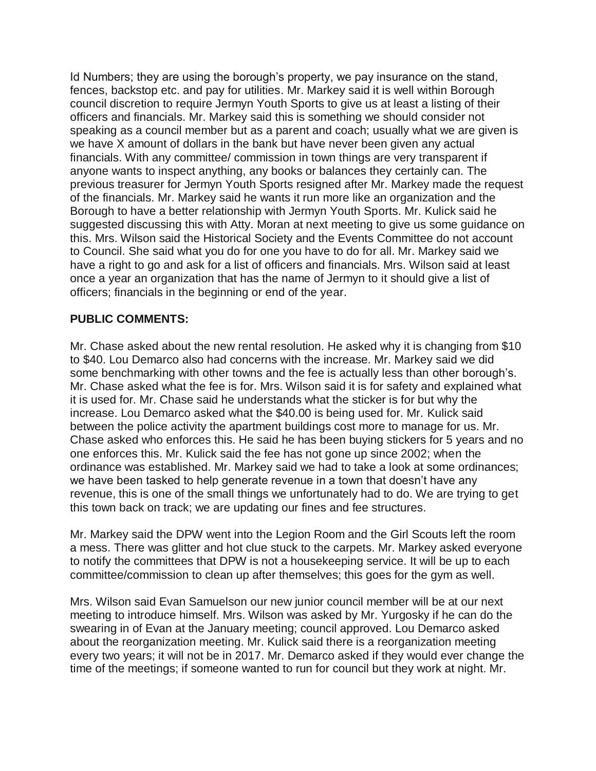Id Numbers; they are using the borough's property, we pay insurance on the stand, fences, backstop etc. and pay for utilities. Mr. Markey said it is well within Borough council discretion to require Jermyn Youth Sports to give us at least a listing of their officers and financials. Mr. Markey said this is something we should consider not speaking as a council member but as a parent and coach; usually what we are given is we have X amount of dollars in the bank but have never been given any actual financials. With any committee/ commission in town things are very transparent if anyone wants to inspect anything, any books or balances they certainly can. The previous treasurer for Jermyn Youth Sports resigned after Mr. Markey made the request of the financials. Mr. Markey said he wants it run more like an organization and the Borough to have a better relationship with Jermyn Youth Sports. Mr. Kulick said he suggested discussing this with Atty. Moran at next meeting to give us some guidance on this. Mrs. Wilson said the Historical Society and the Events Committee do not account to Council. She said what you do for one you have to do for all. Mr. Markey said we have a right to go and ask for a list of officers and financials. Mrs. Wilson said at least once a year an organization that has the name of Jermyn to it should give a list of officers; financials in the beginning or end of the year.

## **PUBLIC COMMENTS:**

Mr. Chase asked about the new rental resolution. He asked why it is changing from \$10 to \$40. Lou Demarco also had concerns with the increase. Mr. Markey said we did some benchmarking with other towns and the fee is actually less than other borough's. Mr. Chase asked what the fee is for. Mrs. Wilson said it is for safety and explained what it is used for. Mr. Chase said he understands what the sticker is for but why the increase. Lou Demarco asked what the \$40.00 is being used for. Mr. Kulick said between the police activity the apartment buildings cost more to manage for us. Mr. Chase asked who enforces this. He said he has been buying stickers for 5 years and no one enforces this. Mr. Kulick said the fee has not gone up since 2002; when the ordinance was established. Mr. Markey said we had to take a look at some ordinances; we have been tasked to help generate revenue in a town that doesn't have any revenue, this is one of the small things we unfortunately had to do. We are trying to get this town back on track; we are updating our fines and fee structures.

Mr. Markey said the DPW went into the Legion Room and the Girl Scouts left the room a mess. There was glitter and hot clue stuck to the carpets. Mr. Markey asked everyone to notify the committees that DPW is not a housekeeping service. It will be up to each committee/commission to clean up after themselves; this goes for the gym as well.

Mrs. Wilson said Evan Samuelson our new junior council member will be at our next meeting to introduce himself. Mrs. Wilson was asked by Mr. Yurgosky if he can do the swearing in of Evan at the January meeting; council approved. Lou Demarco asked about the reorganization meeting. Mr. Kulick said there is a reorganization meeting every two years; it will not be in 2017. Mr. Demarco asked if they would ever change the time of the meetings; if someone wanted to run for council but they work at night. Mr.